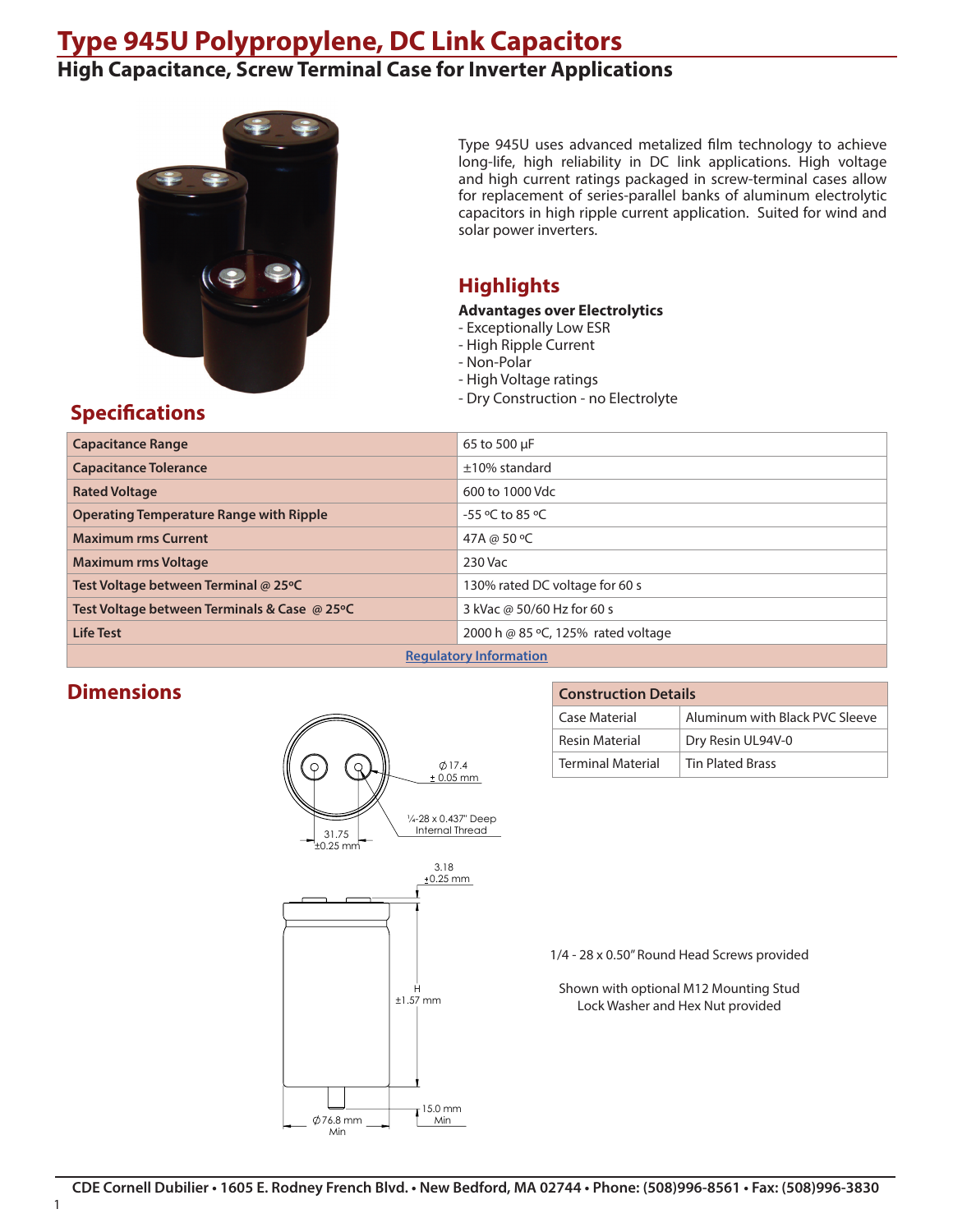### **Type 945U Polypropylene, DC Link Capacitors**

### **High Capacitance, Screw Terminal Case for Inverter Applications**



Type 945U uses advanced metalized film technology to achieve long-life, high reliability in DC link applications. High voltage and high current ratings packaged in screw-terminal cases allow for replacement of series-parallel banks of aluminum electrolytic capacitors in high ripple current application. Suited for wind and solar power inverters.

### **Highlights**

#### **Advantages over Electrolytics**

- Exceptionally Low ESR
- High Ripple Current
- Non-Polar
- High Voltage ratings
- Dry Construction no Electrolyte

#### **Specifications**

| <b>Capacitance Range</b>                               | 65 to 500 µF                   |  |  |  |
|--------------------------------------------------------|--------------------------------|--|--|--|
| <b>Capacitance Tolerance</b>                           | $+10\%$ standard               |  |  |  |
| <b>Rated Voltage</b>                                   | 600 to 1000 Vdc                |  |  |  |
| <b>Operating Temperature Range with Ripple</b>         | -55 °C to 85 °C                |  |  |  |
| <b>Maximum rms Current</b>                             | 47A @ 50 °C                    |  |  |  |
| <b>Maximum rms Voltage</b>                             | 230 Vac                        |  |  |  |
| Test Voltage between Terminal @ 25°C                   | 130% rated DC voltage for 60 s |  |  |  |
| Test Voltage between Terminals & Case @ 25°C           | 3 kVac @ 50/60 Hz for 60 s     |  |  |  |
| <b>Life Test</b><br>2000 h @ 85 °C, 125% rated voltage |                                |  |  |  |
| <b>Regulatory Information</b>                          |                                |  |  |  |

#### **Dimensions**

1



| <b>Construction Details</b> |                                |  |  |
|-----------------------------|--------------------------------|--|--|
| Case Material               | Aluminum with Black PVC Sleeve |  |  |
| <b>Resin Material</b>       | Dry Resin UL94V-0              |  |  |
| Terminal Material           | <b>Tin Plated Brass</b>        |  |  |

1/4 - 28 x 0.50" Round Head Screws provided

Shown with optional M12 Mounting Stud Lock Washer and Hex Nut provided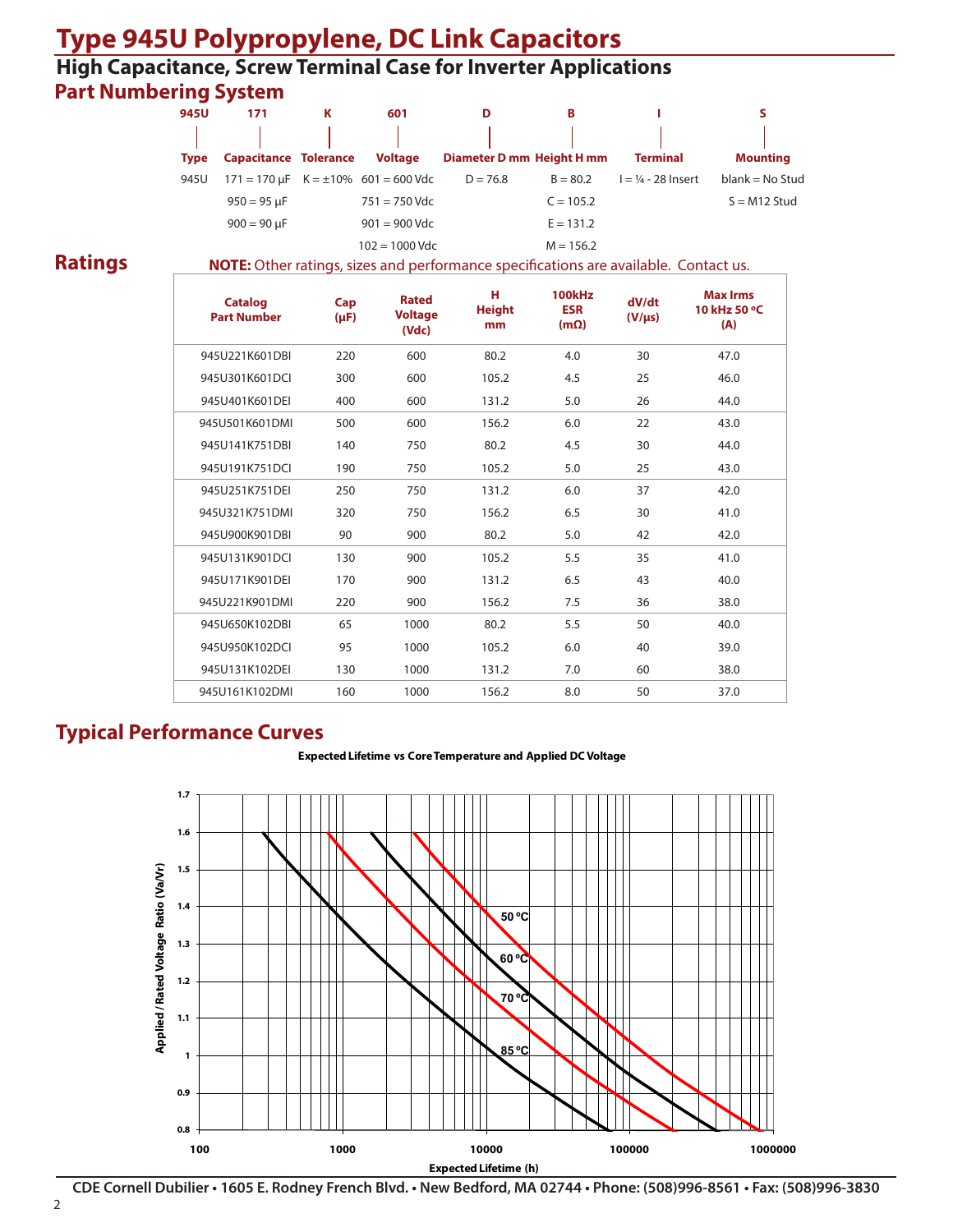# **Type 945U Polypropylene, DC Link Capacitors**

#### **Part Numbering System High Capacitance, Screw Terminal Case for Inverter Applications**

| <b>945U</b> | 171                          | κ | 601                                                          | D                         | в           |                               |                 |
|-------------|------------------------------|---|--------------------------------------------------------------|---------------------------|-------------|-------------------------------|-----------------|
|             |                              |   |                                                              |                           |             |                               |                 |
| <b>Type</b> | <b>Capacitance Tolerance</b> |   | <b>Voltage</b>                                               | Diameter D mm Height H mm |             | <b>Terminal</b>               | <b>Mounting</b> |
| 945U        |                              |   | $171 = 170 \text{ }\mu\text{F}$ K = $\pm 10\%$ 601 = 600 Vdc | $D = 76.8$                | $B = 80.2$  | $l = \frac{1}{4}$ - 28 Insert | blank = No Stud |
|             | $950 = 95 \mu F$             |   | $751 = 750$ Vdc                                              |                           | $C = 105.2$ |                               | $S = M12$ Stud  |
|             | $900 = 90 \mu F$             |   | $901 = 900$ Vdc                                              |                           | $E = 131.2$ |                               |                 |
|             |                              |   | $102 = 1000$ Vdc                                             |                           | $M = 156.2$ |                               |                 |

#### **Ratings**

#### **NOTE:** Other ratings, sizes and performance specifications are available. Contact us.

| <b>Catalog</b><br><b>Part Number</b> | Cap<br>$(\mu F)$ | <b>Rated</b><br><b>Voltage</b><br>(Vdc) | н<br><b>Height</b><br>mm | 100kHz<br><b>ESR</b><br>$(m\Omega)$ | dV/dt<br>$(V/\mu s)$ | <b>Max Irms</b><br>10 kHz 50 °C<br>(A) |
|--------------------------------------|------------------|-----------------------------------------|--------------------------|-------------------------------------|----------------------|----------------------------------------|
| 945U221K601DBI                       | 220              | 600                                     | 80.2                     | 4.0                                 | 30                   | 47.0                                   |
| 945U301K601DCI                       | 300              | 600                                     | 105.2                    | 4.5                                 | 25                   | 46.0                                   |
| 945U401K601DEI                       | 400              | 600                                     | 131.2                    | 5.0                                 | 26                   | 44.0                                   |
| 945U501K601DMI                       | 500              | 600                                     | 156.2                    | 6.0                                 | 22                   | 43.0                                   |
| 945U141K751DBI                       | 140              | 750                                     | 80.2                     | 4.5                                 | 30                   | 44.0                                   |
| 945U191K751DCI                       | 190              | 750                                     | 105.2                    | 5.0                                 | 25                   | 43.0                                   |
| 945U251K751DEI                       | 250              | 750                                     | 131.2                    | 6.0                                 | 37                   | 42.0                                   |
| 945U321K751DMI                       | 320              | 750                                     | 156.2                    | 6.5                                 | 30                   | 41.0                                   |
| 945U900K901DBI                       | 90               | 900                                     | 80.2                     | 5.0                                 | 42                   | 42.0                                   |
| 945U131K901DCI                       | 130              | 900                                     | 105.2                    | 5.5                                 | 35                   | 41.0                                   |
| 945U171K901DEI                       | 170              | 900                                     | 131.2                    | 6.5                                 | 43                   | 40.0                                   |
| 945U221K901DMI                       | 220              | 900                                     | 156.2                    | 7.5                                 | 36                   | 38.0                                   |
| 945U650K102DBI                       | 65               | 1000                                    | 80.2                     | 5.5                                 | 50                   | 40.0                                   |
| 945U950K102DCI                       | 95               | 1000                                    | 105.2                    | 6.0                                 | 40                   | 39.0                                   |
| 945U131K102DEI                       | 130              | 1000                                    | 131.2                    | 7.0                                 | 60                   | 38.0                                   |
| 945U161K102DMI                       | 160              | 1000                                    | 156.2                    | 8.0                                 | 50                   | 37.0                                   |

#### **Typical Performance Curves**

**Expected Lifetime vs Core Temperature and Applied DC Voltage**

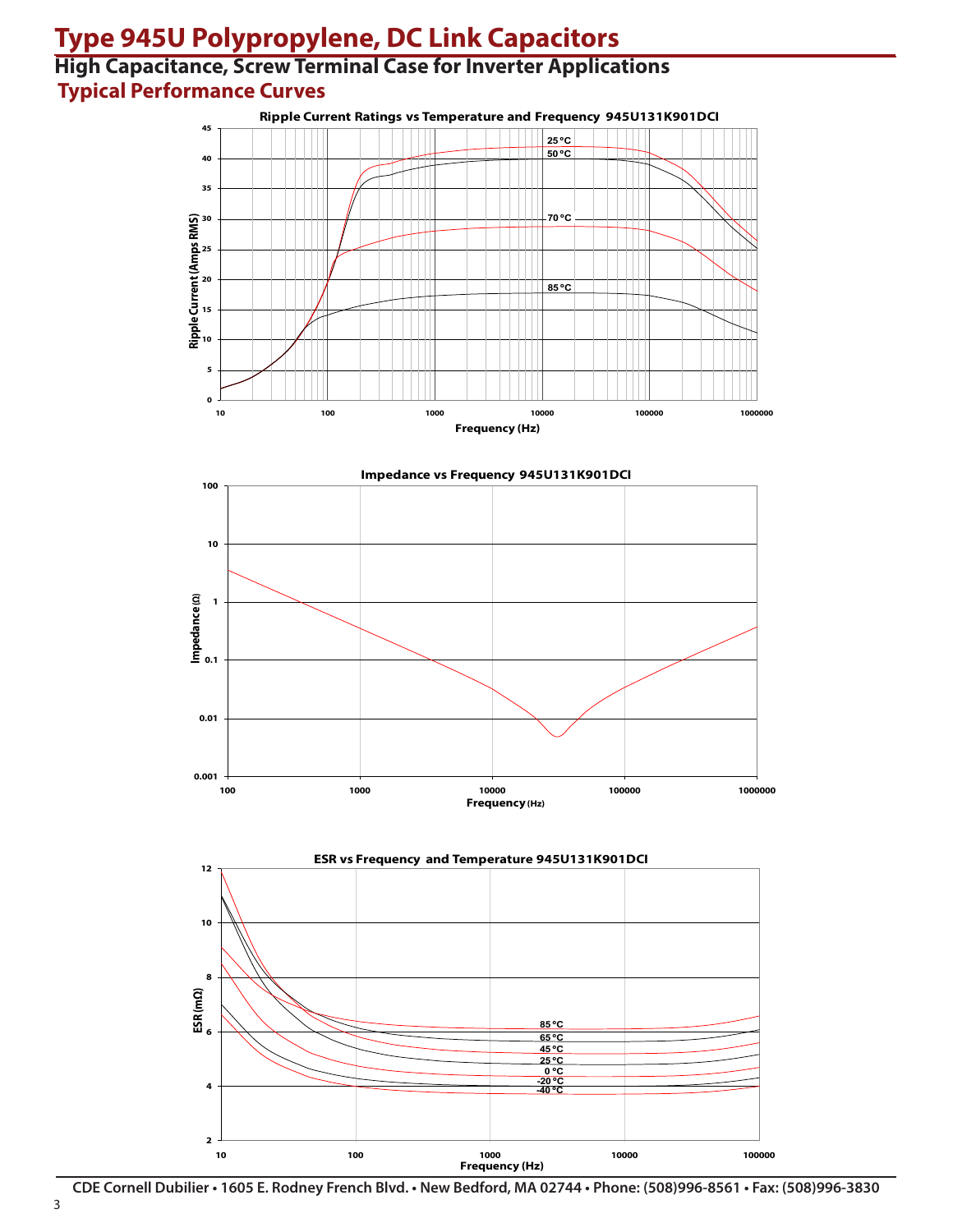# **Type 945U Polypropylene, DC Link Capacitors**

#### **Typical Performance Curves High Capacitance, Screw Terminal Case for Inverter Applications**